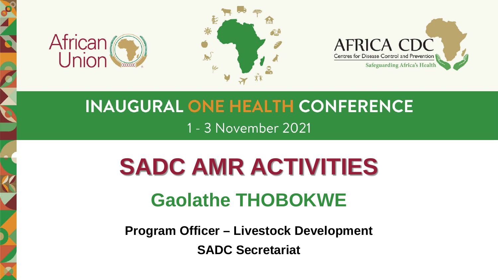





#### **INAUGURAL ONE HEALTH CONFERENCE** 1 - 3 November 2021

## **SADC AMR ACTIVITIES Gaolathe THOBOKWE**

**Program Officer – Livestock Development SADC Secretariat**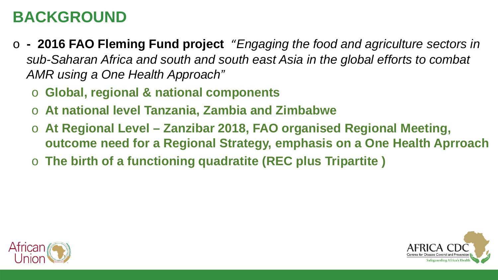#### **BACKGROUND**

- o **- 2016 FAO Fleming Fund project** "*Engaging the food and agriculture sectors in sub-Saharan Africa and south and south east Asia in the global efforts to combat AMR using a One Health Approach"* 
	- **Global, regional & national components**
	- o **At national level Tanzania, Zambia and Zimbabwe**
	- o **At Regional Level – Zanzibar 2018, FAO organised Regional Meeting, outcome need for a Regional Strategy, emphasis on a One Health Aprroach**
	- o **The birth of a functioning quadratite (REC plus Tripartite )**



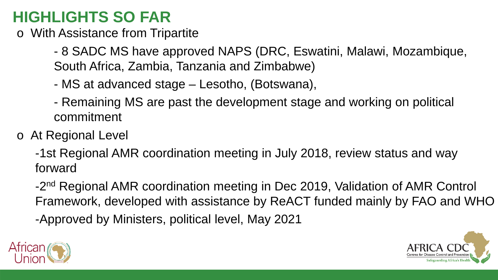#### **HIGHLIGHTS SO FAR**

**With Assistance from Tripartite** 

- 8 SADC MS have approved NAPS (DRC, Eswatini, Malawi, Mozambique, South Africa, Zambia, Tanzania and Zimbabwe)

- MS at advanced stage Lesotho, (Botswana),
- Remaining MS are past the development stage and working on political commitment
- o At Regional Level

-1st Regional AMR coordination meeting in July 2018, review status and way forward

-2nd Regional AMR coordination meeting in Dec 2019, Validation of AMR Control Framework, developed with assistance by ReACT funded mainly by FAO and WHO

-Approved by Ministers, political level, May 2021



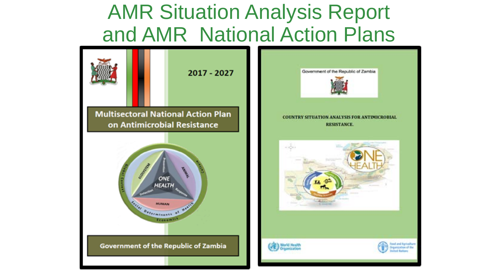### AMR Situation Analysis Report and AMR National Action Plans

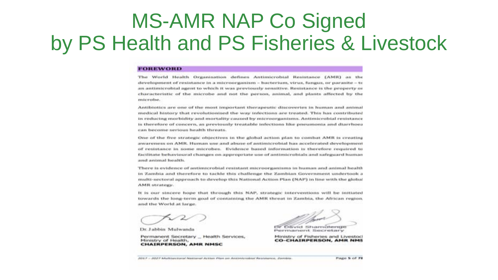#### **MS-AMR NAP Co Signed** by PS Health and PS Fisheries & Livestock

#### **FOREWORD**

The World Health Organisation defines Antimicrobial Resistance (AMR) as the development of resistance in a microorganism - bacterium, virus, fungus, or parasite - to an antimicrobial agent to which it was previously sensitive. Resistance is the property or characteristic of the microbe and not the person, animal, and plants affected by the microbe.

Antibiotics are one of the most important therapeutic discoveries in human and animal medical history that revolutionised the way infections are treated. This has contributed in reducing morbidity and mortality caused by microorganisms. Antimicrobial restatance is therefore of concern, as previously treatable infections like pneumonia and diarrhoea can become serious health threats.

One of the five strategic objectives in the global action plan to combat AMR is creating awareness on AMR. Human use and abuse of antimicrobial has accelerated development of resistance in some microbes. Evidence based information is therefore required to facilitate behavioural changes on appropriate use of antimicrobials and safeguard human and antonal health.

There is evidence of antimicrobial resistant microorganisms in human and animal health in Zambia and therefore to tackle this challenge the Zambian Government undertook a multi-sectoral approach to develop this National Action Plan (NAP) in line with the global AMER servicepen.

It is our sincere hope that through this NAP, strategic interventions will be initiated towards the long-term goal of containing the AMR threat in Zambia, the African region, and the World at large.

Dr. Jabbin Mulwanda

Permanent Secretary \_ Health Services, Ministry of Health, **CHAIRPERSON, AMR NMSC** 

**City California Strongers Observants** 

Perrysiansent Secretary

Ministry of Fisheries and Livestoc **CO-CHAIRPERSON, AMR NMS**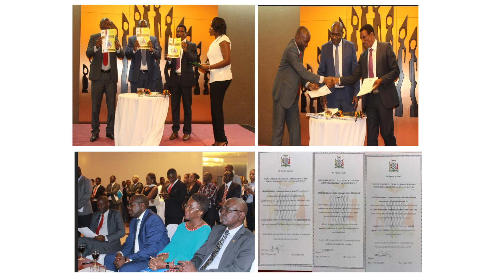

**CERTIFICATE STATE STATE IN** 

The Republic of Zanchia

panny kindly sales

Plant Landa, Zambia

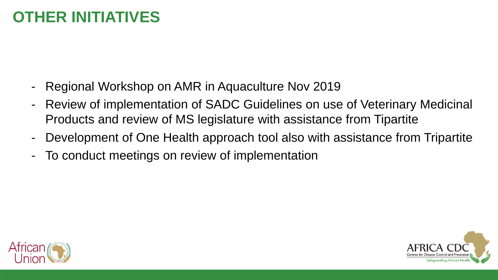#### **OTHER INITIATIVES**

- Regional Workshop on AMR in Aquaculture Nov 2019
- Review of implementation of SADC Guidelines on use of Veterinary Medicinal Products and review of MS legislature with assistance from Tipartite
- Development of One Health approach tool also with assistance from Tripartite
- To conduct meetings on review of implementation



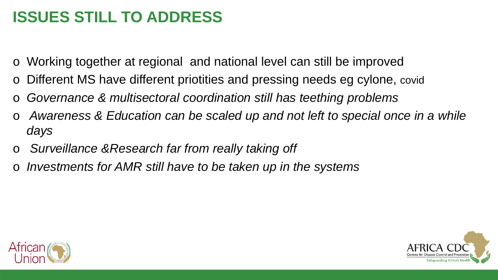#### **ISSUES STILL TO ADDRESS**

- o Working together at regional and national level can still be improved
- o Different MS have different priotities and pressing needs eg cylone, covid
- o *Governance & multisectoral coordination still has teething problems*
- o *Awareness & Education can be scaled up and not left to special once in a while days*
- o *Surveillance &Research far from really taking off*
- Investments for AMR still have to be taken up in the systems



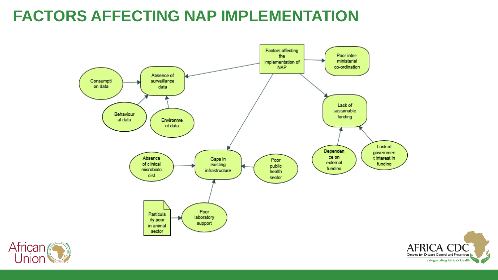#### **FACTORS AFFECTING NAP IMPLEMENTATION**





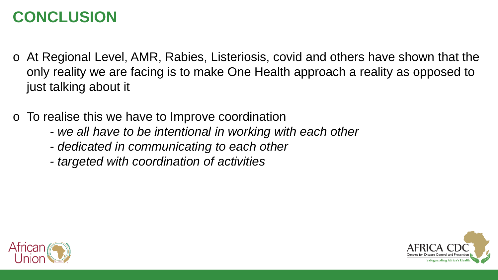#### **CONCLUSION**

- o At Regional Level, AMR, Rabies, Listeriosis, covid and others have shown that the only reality we are facing is to make One Health approach a reality as opposed to just talking about it
- To realise this we have to Improve coordination
	- *- we all have to be intentional in working with each other*
	- *- dedicated in communicating to each other*
	- *- targeted with coordination of activities*